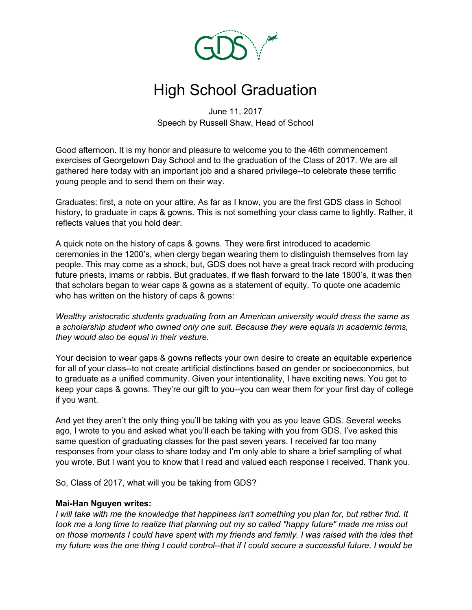

# High School Graduation

June 11, 2017 Speech by Russell Shaw, Head of School

Good afternoon. It is my honor and pleasure to welcome you to the 46th commencement exercises of Georgetown Day School and to the graduation of the Class of 2017. We are all gathered here today with an important job and a shared privilege--to celebrate these terrific young people and to send them on their way.

Graduates: first, a note on your attire. As far as I know, you are the first GDS class in School history, to graduate in caps & gowns. This is not something your class came to lightly. Rather, it reflects values that you hold dear.

A quick note on the history of caps & gowns. They were first introduced to academic ceremonies in the 1200's, when clergy began wearing them to distinguish themselves from lay people. This may come as a shock, but, GDS does not have a great track record with producing future priests, imams or rabbis. But graduates, if we flash forward to the late 1800's, it was then that scholars began to wear caps & gowns as a statement of equity. To quote one academic who has written on the history of caps & gowns:

*Wealthy aristocratic students graduating from an American university would dress the same as a scholarship student who owned only one suit. Because they were equals in academic terms, they would also be equal in their vesture.*

Your decision to wear gaps & gowns reflects your own desire to create an equitable experience for all of your class--to not create artificial distinctions based on gender or socioeconomics, but to graduate as a unified community. Given your intentionality, I have exciting news. You get to keep your caps & gowns. They're our gift to you--you can wear them for your first day of college if you want.

And yet they aren't the only thing you'll be taking with you as you leave GDS. Several weeks ago, I wrote to you and asked what you'll each be taking with you from GDS. I've asked this same question of graduating classes for the past seven years. I received far too many responses from your class to share today and I'm only able to share a brief sampling of what you wrote. But I want you to know that I read and valued each response I received. Thank you.

So, Class of 2017, what will you be taking from GDS?

#### **Mai-Han Nguyen writes:**

*I will take with me the knowledge that happiness isn't something you plan for, but rather find. It* took me a long time to realize that planning out my so called "happy future" made me miss out on those moments I could have spent with my friends and family. I was raised with the idea that my future was the one thing I could control--that if I could secure a successful future, I would be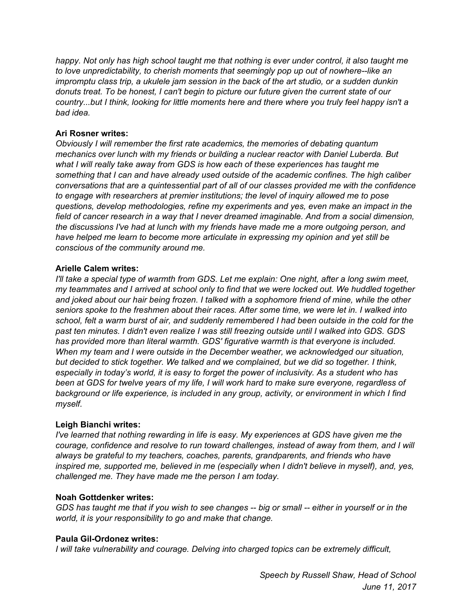*happy. Not only has high school taught me that nothing is ever under control, it also taught me to love unpredictability, to cherish moments that seemingly pop up out of nowhere--like an impromptu class trip, a ukulele jam session in the back of the art studio, or a sudden dunkin donuts treat. To be honest, I can't begin to picture our future given the current state of our country...but I think, looking for little moments here and there where you truly feel happy isn't a bad idea.*

## **Ari Rosner writes:**

*Obviously I will remember the first rate academics, the memories of debating quantum mechanics over lunch with my friends or building a nuclear reactor with Daniel Luberda. But what I will really take away from GDS is how each of these experiences has taught me something that I can and have already used outside of the academic confines. The high caliber conversations that are a quintessential part of all of our classes provided me with the confidence to engage with researchers at premier institutions; the level of inquiry allowed me to pose questions, develop methodologies, refine my experiments and yes, even make an impact in the field of cancer research in a way that I never dreamed imaginable. And from a social dimension, the discussions I've had at lunch with my friends have made me a more outgoing person, and have helped me learn to become more articulate in expressing my opinion and yet still be conscious of the community around me.*

## **Arielle Calem writes:**

I'll take a special type of warmth from GDS. Let me explain: One night, after a long swim meet, *my teammates and I arrived at school only to find that we were locked out. We huddled together and joked about our hair being frozen. I talked with a sophomore friend of mine, while the other seniors spoke to the freshmen about their races. After some time, we were let in. I walked into* school, felt a warm burst of air, and suddenly remembered I had been outside in the cold for the *past ten minutes. I didn't even realize I was still freezing outside until I walked into GDS. GDS has provided more than literal warmth. GDS' figurative warmth is that everyone is included. When my team and I were outside in the December weather, we acknowledged our situation, but decided to stick together. We talked and we complained, but we did so together. I think, especially in today's world, it is easy to forget the power of inclusivity. As a student who has* been at GDS for twelve years of my life, I will work hard to make sure everyone, regardless of *background or life experience, is included in any group, activity, or environment in which I find myself.*

## **Leigh Bianchi writes:**

*I've learned that nothing rewarding in life is easy. My experiences at GDS have given me the courage, confidence and resolve to run toward challenges, instead of away from them, and I will always be grateful to my teachers, coaches, parents, grandparents, and friends who have inspired me, supported me, believed in me (especially when I didn't believe in myself), and, yes, challenged me. They have made me the person I am today.*

## **Noah Gottdenker writes:**

GDS has taught me that if you wish to see changes -- big or small -- either in yourself or in the *world, it is your responsibility to go and make that change.*

## **Paula Gil-Ordonez writes:**

*I will take vulnerability and courage. Delving into charged topics can be extremely difficult,*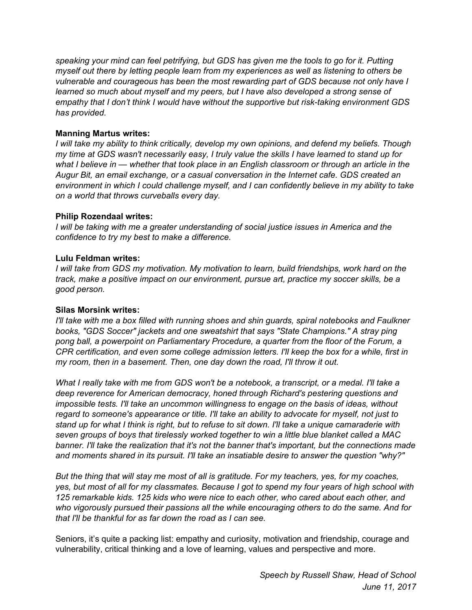*speaking your mind can feel petrifying, but GDS has given me the tools to go for it. Putting myself out there by letting people learn from my experiences as well as listening to others be vulnerable and courageous has been the most rewarding part of GDS because not only have I learned so much about myself and my peers, but I have also developed a strong sense of empathy that I don't think I would have without the supportive but risk-taking environment GDS has provided.*

## **Manning Martus writes:**

*I will take my ability to think critically, develop my own opinions, and defend my beliefs. Though* my time at GDS wasn't necessarily easy, I truly value the skills I have learned to stand up for what I believe in — whether that took place in an English classroom or through an article in the *Augur Bit, an email exchange, or a casual conversation in the Internet cafe. GDS created an environment in which I could challenge myself, and I can confidently believe in my ability to take on a world that throws curveballs every day.*

## **Philip Rozendaal writes:**

*I will be taking with me a greater understanding of social justice issues in America and the confidence to try my best to make a difference.*

## **Lulu Feldman writes:**

*I will take from GDS my motivation. My motivation to learn, build friendships, work hard on the track, make a positive impact on our environment, pursue art, practice my soccer skills, be a good person.*

## **Silas Morsink writes:**

*I'll take with me a box filled with running shoes and shin guards, spiral notebooks and Faulkner books, "GDS Soccer" jackets and one sweatshirt that says "State Champions." A stray ping pong ball, a powerpoint on Parliamentary Procedure, a quarter from the floor of the Forum, a CPR certification, and even some college admission letters. I'll keep the box for a while, first in my room, then in a basement. Then, one day down the road, I'll throw it out.*

What I really take with me from GDS won't be a notebook, a transcript, or a medal. I'll take a *deep reverence for American democracy, honed through Richard's pestering questions and impossible tests. I'll take an uncommon willingness to engage on the basis of ideas, without regard to someone's appearance or title. I'll take an ability to advocate for myself, not just to* stand up for what I think is right, but to refuse to sit down. I'll take a unique camaraderie with *seven groups of boys that tirelessly worked together to win a little blue blanket called a MAC banner. I'll take the realization that it's not the banner that's important, but the connections made and moments shared in its pursuit. I'll take an insatiable desire to answer the question "why?"*

But the thing that will stay me most of all is gratitude. For my teachers, yes, for my coaches, yes, but most of all for my classmates. Because I got to spend my four years of high school with *125 remarkable kids. 125 kids who were nice to each other, who cared about each other, and who vigorously pursued their passions all the while encouraging others to do the same. And for that I'll be thankful for as far down the road as I can see.*

Seniors, it's quite a packing list: empathy and curiosity, motivation and friendship, courage and vulnerability, critical thinking and a love of learning, values and perspective and more.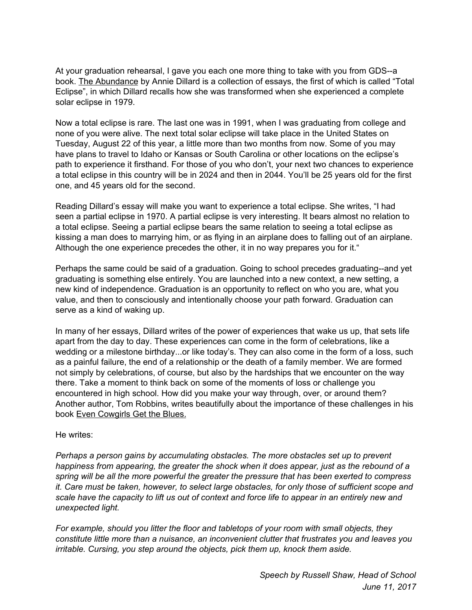At your graduation rehearsal, I gave you each one more thing to take with you from GDS--a book. The Abundance by Annie Dillard is a collection of essays, the first of which is called "Total Eclipse", in which Dillard recalls how she was transformed when she experienced a complete solar eclipse in 1979.

Now a total eclipse is rare. The last one was in 1991, when I was graduating from college and none of you were alive. The next total solar eclipse will take place in the United States on Tuesday, August 22 of this year, a little more than two months from now. Some of you may have plans to travel to Idaho or Kansas or South Carolina or other locations on the eclipse's path to experience it firsthand. For those of you who don't, your next two chances to experience a total eclipse in this country will be in 2024 and then in 2044. You'll be 25 years old for the first one, and 45 years old for the second.

Reading Dillard's essay will make you want to experience a total eclipse. She writes, "I had seen a partial eclipse in 1970. A partial eclipse is very interesting. It bears almost no relation to a total eclipse. Seeing a partial eclipse bears the same relation to seeing a total eclipse as kissing a man does to marrying him, or as flying in an airplane does to falling out of an airplane. Although the one experience precedes the other, it in no way prepares you for it."

Perhaps the same could be said of a graduation. Going to school precedes graduating--and yet graduating is something else entirely. You are launched into a new context, a new setting, a new kind of independence. Graduation is an opportunity to reflect on who you are, what you value, and then to consciously and intentionally choose your path forward. Graduation can serve as a kind of waking up.

In many of her essays, Dillard writes of the power of experiences that wake us up, that sets life apart from the day to day. These experiences can come in the form of celebrations, like a wedding or a milestone birthday...or like today's. They can also come in the form of a loss, such as a painful failure, the end of a relationship or the death of a family member. We are formed not simply by celebrations, of course, but also by the hardships that we encounter on the way there. Take a moment to think back on some of the moments of loss or challenge you encountered in high school. How did you make your way through, over, or around them? Another author, Tom Robbins, writes beautifully about the importance of these challenges in his book Even Cowgirls Get the Blues.

He writes:

*Perhaps a person gains by accumulating obstacles. The more obstacles set up to prevent happiness from appearing, the greater the shock when it does appear, just as the rebound of a spring will be all the more powerful the greater the pressure that has been exerted to compress it. Care must be taken, however, to select large obstacles, for only those of sufficient scope and* scale have the capacity to lift us out of context and force life to appear in an entirely new and *unexpected light.*

*For example, should you litter the floor and tabletops of your room with small objects, they constitute little more than a nuisance, an inconvenient clutter that frustrates you and leaves you irritable. Cursing, you step around the objects, pick them up, knock them aside.*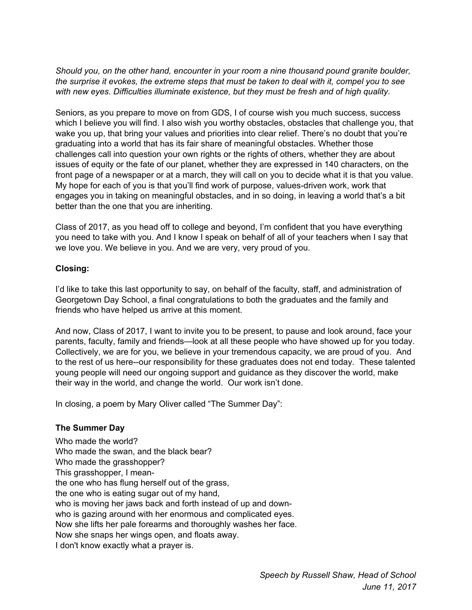*Should you, on the other hand, encounter in your room a nine thousand pound granite boulder,* the surprise it evokes, the extreme steps that must be taken to deal with it, compel you to see *with new eyes. Difficulties illuminate existence, but they must be fresh and of high quality.*

Seniors, as you prepare to move on from GDS, I of course wish you much success, success which I believe you will find. I also wish you worthy obstacles, obstacles that challenge you, that wake you up, that bring your values and priorities into clear relief. There's no doubt that you're graduating into a world that has its fair share of meaningful obstacles. Whether those challenges call into question your own rights or the rights of others, whether they are about issues of equity or the fate of our planet, whether they are expressed in 140 characters, on the front page of a newspaper or at a march, they will call on you to decide what it is that you value. My hope for each of you is that you'll find work of purpose, values-driven work, work that engages you in taking on meaningful obstacles, and in so doing, in leaving a world that's a bit better than the one that you are inheriting.

Class of 2017, as you head off to college and beyond, I'm confident that you have everything you need to take with you. And I know I speak on behalf of all of your teachers when I say that we love you. We believe in you. And we are very, very proud of you.

## **Closing:**

I'd like to take this last opportunity to say, on behalf of the faculty, staff, and administration of Georgetown Day School, a final congratulations to both the graduates and the family and friends who have helped us arrive at this moment.

And now, Class of 2017, I want to invite you to be present, to pause and look around, face your parents, faculty, family and friends—look at all these people who have showed up for you today. Collectively, we are for you, we believe in your tremendous capacity, we are proud of you. And to the rest of us here--our responsibility for these graduates does not end today. These talented young people will need our ongoing support and guidance as they discover the world, make their way in the world, and change the world. Our work isn't done.

In closing, a poem by Mary Oliver called "The Summer Day":

## **The Summer Day**

Who made the world? Who made the swan, and the black bear? Who made the grasshopper? This grasshopper, I meanthe one who has flung herself out of the grass, the one who is eating sugar out of my hand, who is moving her jaws back and forth instead of up and downwho is gazing around with her enormous and complicated eyes. Now she lifts her pale forearms and thoroughly washes her face. Now she snaps her wings open, and floats away. I don't know exactly what a prayer is.